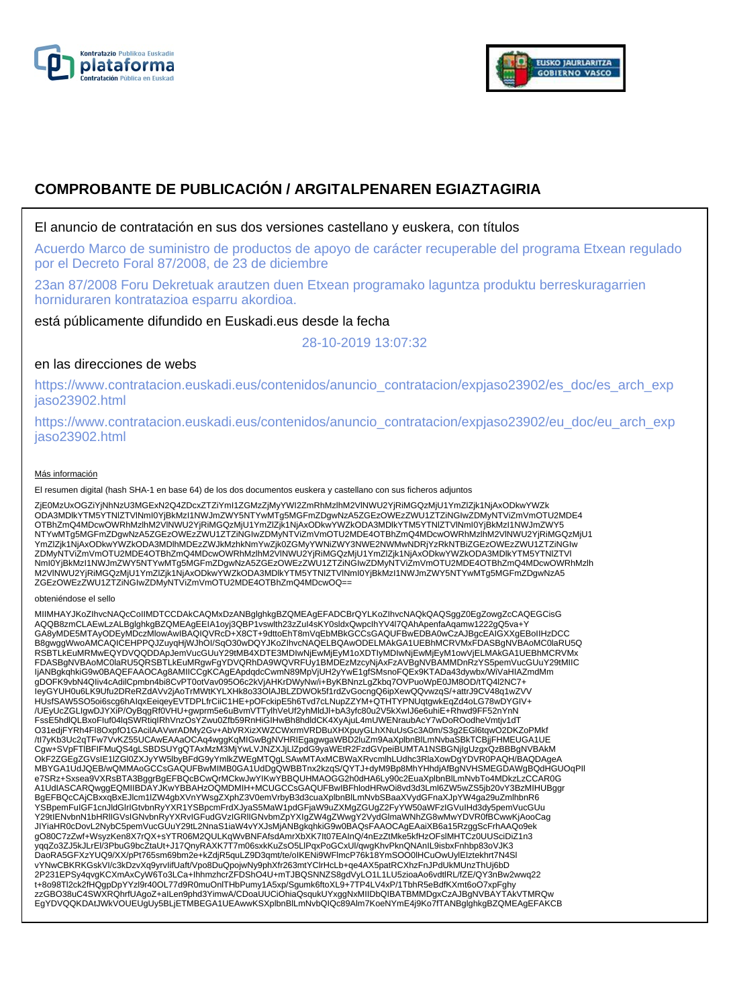



# **COMPROBANTE DE PUBLICACIÓN / ARGITALPENAREN EGIAZTAGIRIA**

# El anuncio de contratación en sus dos versiones castellano y euskera, con títulos

Acuerdo Marco de suministro de productos de apoyo de carácter recuperable del programa Etxean regulado por el Decreto Foral 87/2008, de 23 de diciembre

23an 87/2008 Foru Dekretuak arautzen duen Etxean programako laguntza produktu berreskuragarrien horniduraren kontratazioa esparru akordioa.

está públicamente difundido en Euskadi.eus desde la fecha

28-10-2019 13:07:32

# en las direcciones de webs

https://www.contratacion.euskadi.eus/contenidos/anuncio\_contratacion/expjaso23902/es\_doc/es\_arch\_exp jaso23902.html

https://www.contratacion.euskadi.eus/contenidos/anuncio\_contratacion/expjaso23902/eu\_doc/eu\_arch\_exp jaso23902.html

### Más información

El resumen digital (hash SHA-1 en base 64) de los dos documentos euskera y castellano con sus ficheros adjuntos

ZjE0MzUxOGZiYjNhNzU3MGExN2Q4ZDcxZTZiYmI1ZGMzZjMyYWI2ZmRhMzlhM2VINWU2YjRiMGQzMjU1YmZlZjk1NjAxODkwYWZk<br>ODA3MDlkYTM5YTNIZTVINmI0YjBkMzI1NWJmZWY5NTYwMTg5MGFmZDgwNzA5ZGEzOWEzZWU1ZTZiNGIwZDMyNTViZmVmOTU2MDE4 OTBhZmQ4MDcwOWRhMzlhM2VlNWU2YjRiMGQzMjU1YmZlZjk1NjAxODkwYWZkODA3MDlkYTM5YTNlZTVlNml0YjBkMzI1NWJmZWY5<br>NTYwMTg5MGFmZDgwNzA5ZGEzOWEzZWU1ZTZiNGIwZDMyNTViZmVmOTU2MDE4OTBhZmQ4MDcwOWRhMzlhM2VlNWU2YjRiMGQzMjU1 YmZlZjk1NjAxODkwYWZkODA3MDlhMDEzZWJkMzhkNmYwZjk0ZGMyYWNiZWY3NWE2NWMwNDRjYzRkNTBiZGEzOWEzZWU1ZTZiNGIw ZDMyNTViZmVmOTU2MDE4OTBhZmQ4MDcwOWRhMzlhM2VlNWU2YjRiMGQzMjU1YmZlZjk1NjAxODkwYWZkODA3MDlkYTM5YTNlZTVl NmI0YjBkMzI1NWJmZWY5NTYwMTg5MGFmZDgwNzA5ZGEzOWEzZWU1ZTZiNGIwZDMyNTViZmVmOTU2MDE4OTBhZmQ4MDcwOWRhMzlh M2VlNWU2YjRiMGQzMjU1YmZlZjk1NjAxODkwYWZkODA3MDlkYTM5YTNlZTVlNmI0YjBkMzI1NWJmZWY5NTYwMTg5MGFmZDgwNzA5 ZGEzOWEzZWU1ZTZiNGIwZDMyNTViZmVmOTU2MDE4OTBhZmQ4MDcwOQ==

#### obteniéndose el sello

MIIMHAYJKoZIhvcNAQcCoIIMDTCCDAkCAQMxDzANBglghkgBZQMEAgEFADCBrQYLKoZIhvcNAQkQAQSggZ0EgZowgZcCAQEGCisG AQQB8zmCLAEwLzALBglghkgBZQMEAgEEIA1oyj3QBP1vswlth23zZuI4sKY0sldxQwpcIhYV4l7QAhApenfaAqamw1222gQ5va+Y GA8yMDE5MTAyODEyMDczMlowAwIBAQIQVRcD+X8CT+9dttoEhT8mVqEbMBkGCCsGAQUFBwEDBA0wCzAJBgcEAIGXXgEBoIIHzDCC B8gwggWwoAMCAQICEHPPQJZuyqHjWJhOI/SqO30wDQYJKoZIhvcNAQELBQAwODELMAkGA1UEBhMCRVMxFDASBgNVBAoMC0laRU5Q RSBTLkEuMRMwEQYDVQQDDApJemVucGUuY29tMB4XDTE3MDIwNjEwMjEyM1oXDTIyMDIwNjEwMjEyM1owVjELMAkGA1UEBhMCRVMx<br>FDASBgNVBAoMC0laRU5QRSBTLkEuMRgwFgYDVQRhDA9WQVRFUy1BMDEzMzcyNjAxFzAVBgNVBAMMDnRzYS5pemVucGUuY29tMIIC IjANBgkqhkiG9w0BAQEFAAOCAg8AMIICCgKCAgEApdqdcCwmN89MpVjUH2yYwE1gfSMsnoFQEx9KTADa43dywbx/WiVaHIAZmdMm gDOFK9vbN4QIiv4cAdilCpmbn4bi8CvPT0otVav095O6c2kVjAHKrDWyNw/i+ByKBNnzLgZkbq7OVPuoWpE0JM8OD/tTQ4l2NC7+ IeyGYUH0u6LK9Ufu2DReRZdAVv2jAoTrMWtKYLXHk8o33OlAJBLZDWOk5f1rdZvGocngQ6ipXewQQvwzqS/+attrJ9CV48q1wZVV HUsfSAW5SO5oi6scg6hAIqxEeiqeyEVTDPLfrCiiC1HE+pOFckipE5h6Tvd7cLNupZZYM+QTHTYPNUqtgwkEqZd4oLG78wDYGIV+ /UEyUcZGLIgwDJYXiP/OyBqgRf0VHU+gwprm5e6uBvmVTTylhVeUf2yhMldJl+bA3yfc80u2V5kXwIJ6e6uhiE+Rhwd9FF52nYnN FssE5hdlQLBxoFIuf04lqSWRtiqIRhVnzOsYZwu0Zfb59RnHiGIHwBh8hdldCK4XyAjuL4mUWENraubAcY7wDoROodheVmtjv1dT O31edjFYRh4FI8OxpfO1GAcilAAVwrADMy2Gv+AbVRXizXWZCWxrmVRDBuXHXpuyGLhXNuUsGc3A0m/S3g2EGl6tqwO2DKZoPMkf<br>/tl7yKb3Uc2qTFw7VvKZ55UCAwEAAaOCAq4wggKqMlGwBgNVHRIEgagwgaWBD2luZm9AaXplbnBlLmNvbaSBkTCBjjFHMEUGA1UE Cgw+SVpFTlBFIFMuQS4gLSBDSUYgQTAxMzM3MjYwLVJNZXJjLlZpdG9yaWEtR2FzdGVpeiBUMTA1NSBGNjIgUzgxQzBBBgNVBAkM OkF2ZGEgZGVsIE1lZGl0ZXJyYW5lbyBFdG9yYmlkZWEgMTQgLSAwMTAxMCBWaXRvcmlhLUdhc3RlaXowDgYDVR0PAQH/BAQDAgeA MBYGA1UdJQEB/wQMMAoGCCsGAQUFBwMIMB0GA1UdDgQWBBTnx2kzqS/QYTJ+dyM9Bp8MhYHhdjAfBgNVHSMEGDAWgBQdHGUOqPIl e7SRz+Sxsea9VXRsBTA3BggrBgEFBQcBCwQrMCkwJwYIKwYBBQUHMAOGG2h0dHA6Ly90c2EuaXplbnBlLmNvbTo4MDkzLzCCAR0G A1UdIASCARQwggEQMIIBDAYJKwYBBAHzOQMDMIH+MCUGCCsGAQUFBwIBFhlodHRwOi8vd3d3Lml6ZW5wZS5jb20vY3BzMIHUBggr BgEFBQcCAjCBxxqBxEJlcm1lZW4gbXVnYWsgZXphZ3V0emVrbyB3d3cuaXplbnBlLmNvbSBaaXVydGFnaXJpYW4ga29uZmlhbnR6 YSBpemFuIGF1cnJldGlrIGtvbnRyYXR1YSBpcmFrdXJyaS5MaW1pdGFjaW9uZXMgZGUgZ2FyYW50aWFzIGVuIHd3dy5pemVucGUu<br>Y29tIENvbnN1bHRIIGVsIGNvbnRyYXRvIGFudGVzIGRIIGNvbmZpYXIgZW4gZWwgY2VydGlmaWNhZG8wMwYDVR0fBCwwKjAooCag JIYiaHR0cDovL2NybC5pemVucGUuY29tL2NnaS1iaW4vYXJsMjANBgkqhkiG9w0BAQsFAAOCAgEAaiXB6a15RzggScFrhAAQo9ek gO80C7zZwf+WsyzKen8X7rQX+sYTR06M2QULKqWvBNFAfsdAmrXbXK7It07EAInQ/4nEzZtMke5kfHzOFslMHTCz0UUSciDiZ1n3 yqqZo3ZJ5kJLrEl/3PbuG9bcZtaUt+J17QnyRAXK7T7m06sxkKuZsO5LlPqxPoGCxUl/qwgKhvPknQNAnIL9isbxFnhbp83oVJK3<br>DaoRA5GFXzYUQ9/XX/pPt765sm69bm2e+kZdjR5quLZ9D3qmt/te/oIKENi9WFlmcP76k18YmSOO0lHCuOwUylEIztekhrt7N4Sl vYNwCBKRKGskVI/c3kDzvXq9yrvIifUaft/Vpo8DuQpojwNy9phXfr263mtYClrHcLb+qe4AX5patRCXhzFnJPdUkMUnzThUj6bD 2P231EPSy4qvgKCXmAxCyW6To3LCa+IhhmzhcrZFDShO4U+mTJBQSNNZS8gdVyLO1L1LU5zioaAo6vdtlRL/fZE/QY3nBw2wwq22<br>t+8o98Tl2ck2fHQgpDpYYzl9r40OL77d9R0muOnlTHbPumy1A5xp/Sgumk6ftoXL9+7TP4LV4xP/1TbhR5eBdfKXmt6oO7xpFghy<br>zzGBO38uC4SWXRQhrfUA EgYDVQQKDAtJWkVOUEUgUy5BLjETMBEGA1UEAwwKSXplbnBlLmNvbQIQc89Alm7KoeNYmE4j9Ko7fTANBglghkgBZQMEAgEFAKCB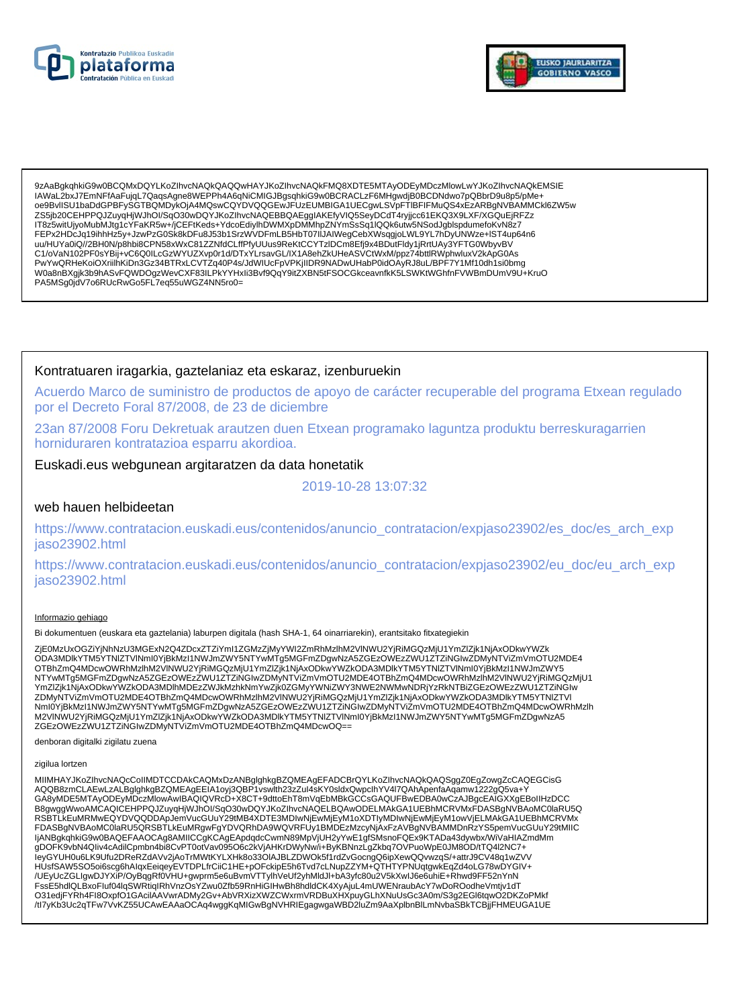



9zAaBqkqhkiG9w0BCQMxDQYLKoZlhvcNAQkQAQQwHAYJKoZlhvcNAQkFMQ8XDTE5MTAvODEvMDczMlowLwYJKoZlhvcNAQkEMSIE IAWaL2bxJ7EmNFfAaFujqL7QaqsAgne8WEPPh4A6qNiCMIGJBgsqhkiG9w0BCRACLzF6MHgwdjB0BCDNdwo7pQBbrD9u8p5/pMe+ oe9BvlISU1baDdGPBFySGTBQMDykOjA4MQswCQYDVQQGEwJFUzEUMBIGA1UECgwLSVpFTIBFIFMuQS4xEzARBgNVBAMMCkl6ZW5w ZS5jb20CEHPPQJZuyqHjWJhOl/SqO30wDQYJKoZlhvcNAQEBBQAEgglAKEfyVIQ5SeyDCdT4ryjjcc61EKQ3X9LXF/XGQuEjRFZz IT8z5witUjyoMubMJtg1cYFaKR5w+/jCEFtKeds+YdcoEdiylhDWMXpDMMhpZNYmSsSq1IQQk6utw5NSodJgblspdumefoKvN8z7 FEPx2HDcJq19ihhHz5y+JzwPzG0Sk8kDFu8J53b1SrzWVDFmLB5HbT07IIJAIWegCebXWsqgjoLWL9YL7hDyUNWze+IST4up64n6 uu/HUYa0iQ//2BH0N/p8hbi8CPN58xWxC81ZZNfdCLffPfyUUus9ReKtCCYTzIDCm8Efj9x4BDutFldy1jRrtUAy3YFTG0WbyvBV C1/oVaN102PF0sYBij+vC6Q0ILcGzWYUZXvp0r1d/DTxYLrsavGL/IX1A8ehZkUHeASVCtWxM/ppz74bttlRWphwluxV2kApG0As PA5MSg0jdV7o6RUcRwGo5FL7eq55uWGZ4NN5ro0=

### Kontratuaren iragarkia, gaztelaniaz eta eskaraz, izenburuekin

Acuerdo Marco de suministro de productos de apoyo de carácter recuperable del programa Etxean regulado por el Decreto Foral 87/2008, de 23 de diciembre

23an 87/2008 Foru Dekretuak arautzen duen Etxean programako laguntza produktu berreskuragarrien horniduraren kontratazioa esparru akordioa.

## Euskadi.eus webgunean argitaratzen da data honetatik

2019-10-28 13:07:32

### web hauen helbideetan

https://www.contratacion.euskadi.eus/contenidos/anuncio\_contratacion/expjaso23902/es\_doc/es\_arch\_exp jaso23902.html

https://www.contratacion.euskadi.eus/contenidos/anuncio contratacion/expjaso23902/eu doc/eu arch exp jaso23902.html

### Informazio gehiago

Bi dokumentuen (euskara eta gaztelania) laburpen digitala (hash SHA-1, 64 oinarriarekin), erantsitako fitxategiekin

ZjE0MzUxOGZiYjNhNzU3MGExN2Q4ZDcxZTZiYmI1ZGMzZjMyYWI2ZmRhMzlhM2VINWU2YjRiMGQzMjU1YmZlZjk1NjAxODkwYWZk ODA3MDIkYTM5YTNIZTVINml0YjBkMzI1NWJmZWY5NTYwMTa5MGFmZDqwNzA5ZGEzOWEzZWU1ZTZiNGlwZDMyNTViZmVmOTU2MDE4 OTBhZmQ4MDcwOWRhMzIhM2VINWU2YjRiMGQzMjU1YmZlZjk1NjAxODkwYWZkODA3MDlkYTM5YTNlZTVINml0YjBkMzl1NWJmZWY5 NTYwMTg5MGFmZDgwNzA5ZGEzOWEzZWU1ZTZINGIwZDMyNTViZmVmOTU2MDE4OTBhZmQ4MDcwOWRhMzInM2VINWU2YjRiMGQzMjU1 Nml0YjBkMzI1NWJmZWY5NTYwMTg5MGFmZDgwNzA5ZGEzOWEzZWU1ZTZiNGlwZDMyNTViZmVmOTU2MDE4OTBhZmQ4MDcwOWRhMzlh<br>M2VINWU2YjRiMGQzMjU1YmZlZjk1NjAxODkwYWZkODA3MDlkYTM5YTNlZTVlNml0YjBkMzI1NWJmZWY5NTYwMTg5MGFmZDgwNzA5 ZGEzOWEzZWU1ZTZiNGIwZDMyNTViZmVmOTU2MDE4OTBhZmQ4MDcwOQ==

denboran digitalki zigilatu zuena

#### zigilua lortzen

MIIMHAYJKoZIhvcNAQcCoIIMDTCCDAkCAQMxDzANBglghkgBZQMEAgEFADCBrQYLKoZIhvcNAQkQAQSggZ0EgZowgZcCAQEGCisG AQQB8zmCLAEwLzALBglghkgBZQMEAgEEIA1oyj3QBP1vswith23zZul4sKY0sldxQwpclhYV4l7QAhApenfaAqamw1222gQ5va+Y GA8yMDE5MTAyODEyMDczMlowAwIBAQIQVRcD+X8CT+9dttoEhT8mVqEbMBkGCCsGAQUFBwEDBA0wCzAJBgcEAIGXXgEBoIIHzDCC B8gwggWwoAMCAQICEHPPQJZuyqHjWJhOI/SqO30wDQYJKoZIhvcNAQELBQAwODELMAkGA1UEBhMCRVMxFDASBgNVBAoMC0laRU5Q RSBTLKEuMRMwEQYDVQQDDApJemVucGUuY29tMB4XDTE3MDlwNjEwMjEyM1oXDTIyMDlwNjEwMjEyM1owVjELMAkGA1UEBhMCRVMx<br>FDASBgNVBAoMC0laRU5QRSBTLkEuMRgwFgYDVQRhDA9WQVRFUy1BMDEzMzcyNjAxFzAVBgNVBAMMDnRzYS5pemVucGUuY29tMIIC ljANBgkqhkiG9w0BAQEFAAOCAg8AMIICCgKCAgEApdqdcCwmN89MpVjUH2yYwE1gfSMsnoFQEx9KTADa43dywbx/WiVaHIAZmdMm<br>gDOFK9vbN4Qliv4cAdilCpmbn4bi8CvPT0otVav095O6c2kVjAHKrDWyNw/i+ByKBNnzLgZkbq7OVPuoWpE0JM8OD/tTQ4l2NC7+ leyGYUH0u6LK9Ufu2DReRZdAVv2jAoTrMWtKYLXHk8o33OIAJBLZDWOk5f1rdZvGocngQ6ipXewQQvwzqS/+attrJ9CV48q1wZVV HUsfSAW5SO5oi6scg6hAlqxEeiqeyEVTDPLfrCiiC1HE+pOFckipE5h6Tvd7cLNupZZYM+QTHTYPNUqtgwkEqZd4oLG78wDYGIV+ /UEyUcZGLIgwDJYXiP/OyBqqRf0VHU+gwprm5e6uBvmVTTylhVeUf2yhMldJl+bA3yfc80u2V5kXwIJ6e6uhiE+Rhwd9FF52nYnN FssE5hdlQLBxoFluf04lqSWRtiqIRhVnzOsYZwu0Zfb59RnHiGIHwBh8hdldCK4XyAjuL4mUWENraubAcY7wDoROodheVmtjv1dT O31edjFYRh4Fl8OxpfO1GAcilAAVwrADMy2Gv+AbVRXizXWZCWxrmVRDBuXHXpuyGLhXNuUsGc3A0m/S3g2EGl6tqwO2DKZoPMkf /tl7yKb3Uc2qTFw7VvKZ55UCAwEAAaOCAq4wggKqMIGwBgNVHRIEgagwgaWBD2IuZm9AaXplbnBlLmNvbaSBkTCBjjFHMEUGA1UE